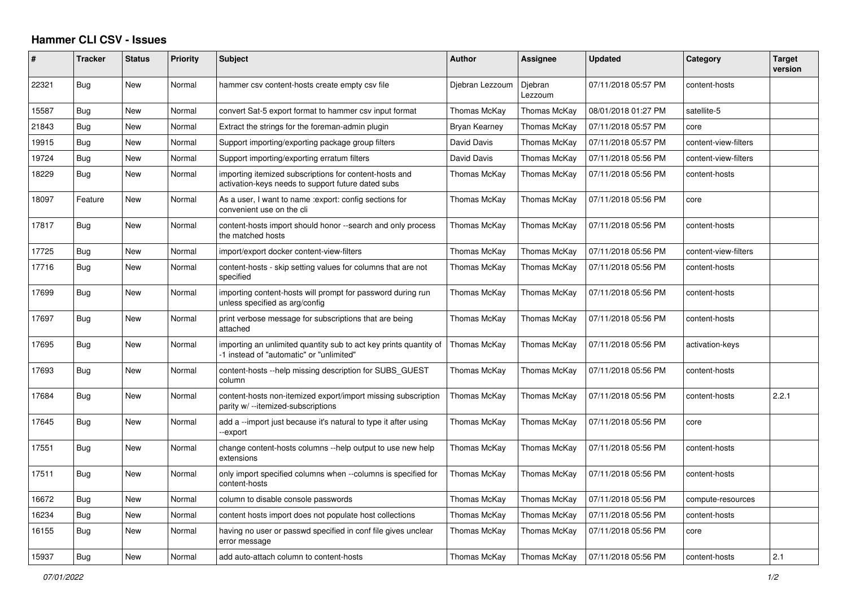## **Hammer CLI CSV - Issues**

| ∦     | <b>Tracker</b> | <b>Status</b> | <b>Priority</b> | <b>Subject</b>                                                                                                | <b>Author</b>   | Assignee           | <b>Updated</b>      | Category             | <b>Target</b><br>version |
|-------|----------------|---------------|-----------------|---------------------------------------------------------------------------------------------------------------|-----------------|--------------------|---------------------|----------------------|--------------------------|
| 22321 | <b>Bug</b>     | <b>New</b>    | Normal          | hammer csv content-hosts create empty csv file                                                                | Djebran Lezzoum | Djebran<br>Lezzoum | 07/11/2018 05:57 PM | content-hosts        |                          |
| 15587 | <b>Bug</b>     | New           | Normal          | convert Sat-5 export format to hammer csv input format                                                        | Thomas McKay    | Thomas McKay       | 08/01/2018 01:27 PM | satellite-5          |                          |
| 21843 | Bug            | New           | Normal          | Extract the strings for the foreman-admin plugin                                                              | Bryan Kearney   | Thomas McKay       | 07/11/2018 05:57 PM | core                 |                          |
| 19915 | Bug            | New           | Normal          | Support importing/exporting package group filters                                                             | David Davis     | Thomas McKay       | 07/11/2018 05:57 PM | content-view-filters |                          |
| 19724 | Bug            | New           | Normal          | Support importing/exporting erratum filters                                                                   | David Davis     | Thomas McKay       | 07/11/2018 05:56 PM | content-view-filters |                          |
| 18229 | <b>Bug</b>     | New           | Normal          | importing itemized subscriptions for content-hosts and<br>activation-keys needs to support future dated subs  | Thomas McKay    | Thomas McKay       | 07/11/2018 05:56 PM | content-hosts        |                          |
| 18097 | Feature        | New           | Normal          | As a user, I want to name : export: config sections for<br>convenient use on the cli                          | Thomas McKay    | Thomas McKay       | 07/11/2018 05:56 PM | core                 |                          |
| 17817 | Bug            | New           | Normal          | content-hosts import should honor --search and only process<br>the matched hosts                              | Thomas McKay    | Thomas McKay       | 07/11/2018 05:56 PM | content-hosts        |                          |
| 17725 | Bug            | New           | Normal          | import/export docker content-view-filters                                                                     | Thomas McKay    | Thomas McKay       | 07/11/2018 05:56 PM | content-view-filters |                          |
| 17716 | Bug            | <b>New</b>    | Normal          | content-hosts - skip setting values for columns that are not<br>specified                                     | Thomas McKay    | Thomas McKay       | 07/11/2018 05:56 PM | content-hosts        |                          |
| 17699 | <b>Bug</b>     | New           | Normal          | importing content-hosts will prompt for password during run<br>unless specified as arg/config                 | Thomas McKay    | Thomas McKay       | 07/11/2018 05:56 PM | content-hosts        |                          |
| 17697 | Bug            | New           | Normal          | print verbose message for subscriptions that are being<br>attached                                            | Thomas McKay    | Thomas McKay       | 07/11/2018 05:56 PM | content-hosts        |                          |
| 17695 | <b>Bug</b>     | New           | Normal          | importing an unlimited quantity sub to act key prints quantity of<br>-1 instead of "automatic" or "unlimited" | Thomas McKay    | Thomas McKay       | 07/11/2018 05:56 PM | activation-keys      |                          |
| 17693 | Bug            | <b>New</b>    | Normal          | content-hosts --help missing description for SUBS GUEST<br>column                                             | Thomas McKav    | Thomas McKay       | 07/11/2018 05:56 PM | content-hosts        |                          |
| 17684 | Bug            | <b>New</b>    | Normal          | content-hosts non-itemized export/import missing subscription<br>parity w/ --itemized-subscriptions           | Thomas McKay    | Thomas McKay       | 07/11/2018 05:56 PM | content-hosts        | 2.2.1                    |
| 17645 | <b>Bug</b>     | <b>New</b>    | Normal          | add a --import just because it's natural to type it after using<br>--export                                   | Thomas McKay    | Thomas McKay       | 07/11/2018 05:56 PM | core                 |                          |
| 17551 | <b>Bug</b>     | <b>New</b>    | Normal          | change content-hosts columns --help output to use new help<br>extensions                                      | Thomas McKay    | Thomas McKay       | 07/11/2018 05:56 PM | content-hosts        |                          |
| 17511 | <b>Bug</b>     | New           | Normal          | only import specified columns when --columns is specified for<br>content-hosts                                | Thomas McKay    | Thomas McKay       | 07/11/2018 05:56 PM | content-hosts        |                          |
| 16672 | Bug            | <b>New</b>    | Normal          | column to disable console passwords                                                                           | Thomas McKay    | Thomas McKay       | 07/11/2018 05:56 PM | compute-resources    |                          |
| 16234 | Bug            | New           | Normal          | content hosts import does not populate host collections                                                       | Thomas McKay    | Thomas McKay       | 07/11/2018 05:56 PM | content-hosts        |                          |
| 16155 | Bug            | New           | Normal          | having no user or passwd specified in conf file gives unclear<br>error message                                | Thomas McKay    | Thomas McKay       | 07/11/2018 05:56 PM | core                 |                          |
| 15937 | Bug            | New           | Normal          | add auto-attach column to content-hosts                                                                       | Thomas McKav    | Thomas McKay       | 07/11/2018 05:56 PM | content-hosts        | 2.1                      |